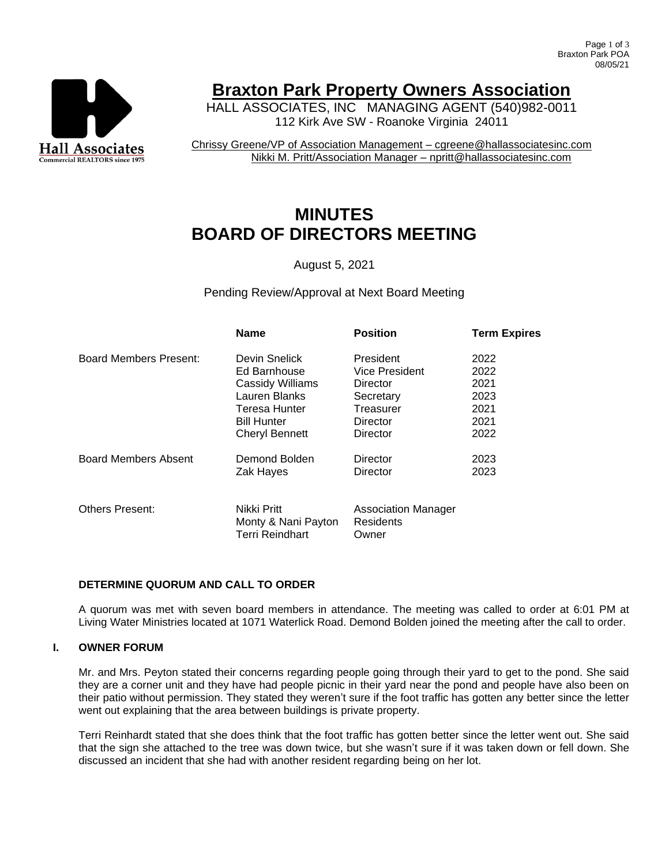

# **Braxton Park Property Owners Association**

HALL ASSOCIATES, INC MANAGING AGENT (540)982-0011 112 Kirk Ave SW - Roanoke Virginia 24011

Chrissy Greene/VP of Association Management – cgreene@hallassociatesinc.com Nikki M. Pritt/Association Manager – npritt@hallassociatesinc.com

# **MINUTES BOARD OF DIRECTORS MEETING**

August 5, 2021

Pending Review/Approval at Next Board Meeting

|                             | <b>Name</b>                                           | <b>Position</b>                                  | <b>Term Expires</b> |
|-----------------------------|-------------------------------------------------------|--------------------------------------------------|---------------------|
| Board Members Present:      | Devin Snelick                                         | President                                        | 2022                |
|                             | Ed Barnhouse                                          | Vice President                                   | 2022                |
|                             | Cassidy Williams                                      | Director                                         | 2021                |
|                             | Lauren Blanks                                         | Secretary                                        | 2023                |
|                             | Teresa Hunter                                         | Treasurer                                        | 2021                |
|                             | <b>Bill Hunter</b>                                    | Director                                         | 2021                |
|                             | <b>Cheryl Bennett</b>                                 | Director                                         | 2022                |
| <b>Board Members Absent</b> | Demond Bolden                                         | Director                                         | 2023                |
|                             | Zak Hayes                                             | Director                                         | 2023                |
|                             |                                                       |                                                  |                     |
| <b>Others Present:</b>      | Nikki Pritt<br>Monty & Nani Payton<br>Terri Reindhart | <b>Association Manager</b><br>Residents<br>Owner |                     |

# **DETERMINE QUORUM AND CALL TO ORDER**

A quorum was met with seven board members in attendance. The meeting was called to order at 6:01 PM at Living Water Ministries located at 1071 Waterlick Road. Demond Bolden joined the meeting after the call to order.

# **I. OWNER FORUM**

Mr. and Mrs. Peyton stated their concerns regarding people going through their yard to get to the pond. She said they are a corner unit and they have had people picnic in their yard near the pond and people have also been on their patio without permission. They stated they weren't sure if the foot traffic has gotten any better since the letter went out explaining that the area between buildings is private property.

Terri Reinhardt stated that she does think that the foot traffic has gotten better since the letter went out. She said that the sign she attached to the tree was down twice, but she wasn't sure if it was taken down or fell down. She discussed an incident that she had with another resident regarding being on her lot.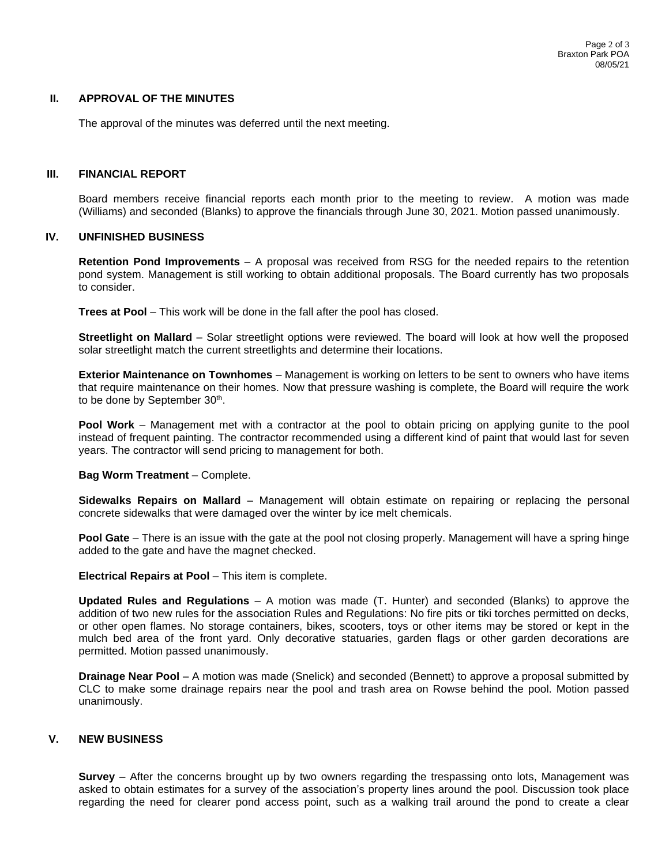### **II. APPROVAL OF THE MINUTES**

The approval of the minutes was deferred until the next meeting.

## **III. FINANCIAL REPORT**

Board members receive financial reports each month prior to the meeting to review. A motion was made (Williams) and seconded (Blanks) to approve the financials through June 30, 2021. Motion passed unanimously.

#### **IV. UNFINISHED BUSINESS**

**Retention Pond Improvements** – A proposal was received from RSG for the needed repairs to the retention pond system. Management is still working to obtain additional proposals. The Board currently has two proposals to consider.

**Trees at Pool** – This work will be done in the fall after the pool has closed.

**Streetlight on Mallard** – Solar streetlight options were reviewed. The board will look at how well the proposed solar streetlight match the current streetlights and determine their locations.

**Exterior Maintenance on Townhomes** – Management is working on letters to be sent to owners who have items that require maintenance on their homes. Now that pressure washing is complete, the Board will require the work to be done by September 30<sup>th</sup>.

**Pool Work** – Management met with a contractor at the pool to obtain pricing on applying gunite to the pool instead of frequent painting. The contractor recommended using a different kind of paint that would last for seven years. The contractor will send pricing to management for both.

**Bag Worm Treatment** – Complete.

**Sidewalks Repairs on Mallard** – Management will obtain estimate on repairing or replacing the personal concrete sidewalks that were damaged over the winter by ice melt chemicals.

**Pool Gate** – There is an issue with the gate at the pool not closing properly. Management will have a spring hinge added to the gate and have the magnet checked.

**Electrical Repairs at Pool – This item is complete.** 

**Updated Rules and Regulations** – A motion was made (T. Hunter) and seconded (Blanks) to approve the addition of two new rules for the association Rules and Regulations: No fire pits or tiki torches permitted on decks, or other open flames. No storage containers, bikes, scooters, toys or other items may be stored or kept in the mulch bed area of the front yard. Only decorative statuaries, garden flags or other garden decorations are permitted. Motion passed unanimously.

**Drainage Near Pool** – A motion was made (Snelick) and seconded (Bennett) to approve a proposal submitted by CLC to make some drainage repairs near the pool and trash area on Rowse behind the pool. Motion passed unanimously.

## **V. NEW BUSINESS**

**Survey** – After the concerns brought up by two owners regarding the trespassing onto lots, Management was asked to obtain estimates for a survey of the association's property lines around the pool. Discussion took place regarding the need for clearer pond access point, such as a walking trail around the pond to create a clear